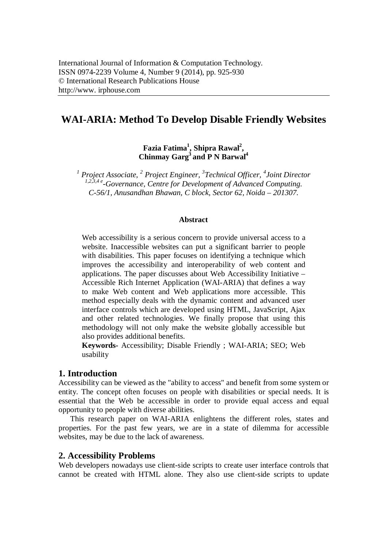# **WAI-ARIA: Method To Develop Disable Friendly Websites**

**Fazia Fatima<sup>1</sup> , Shipra Rawal<sup>2</sup> , Chinmay Garg<sup>3</sup> and P N Barwal<sup>4</sup>**

<sup>1</sup> Project Associate, <sup>2</sup> Project Engineer, <sup>3</sup> Technical Officer, <sup>4</sup> Joint Director *1,2,3,4 e -Governance, Centre for Development of Advanced Computing. C-56/1, Anusandhan Bhawan, C block, Sector 62, Noida – 201307.*

#### **Abstract**

Web accessibility is a serious concern to provide universal access to a website. Inaccessible websites can put a significant barrier to people with disabilities. This paper focuses on identifying a technique which improves the accessibility and interoperability of web content and applications. The paper discusses about Web Accessibility Initiative – Accessible Rich Internet Application (WAI-ARIA) that defines a way to make Web content and Web applications more accessible. This method especially deals with the dynamic content and advanced user interface controls which are developed using HTML, JavaScript, Ajax and other related technologies. We finally propose that using this methodology will not only make the website globally accessible but also provides additional benefits.

**Keywords-** Accessibility; Disable Friendly ; WAI-ARIA; SEO; Web usability

### **1. Introduction**

Accessibility can be viewed as the "ability to access" and benefit from some system or entity. The concept often focuses on people with disabilities or special needs. It is essential that the Web be accessible in order to provide equal access and equal opportunity to people with diverse abilities.

This research paper on WAI-ARIA enlightens the different roles, states and properties. For the past few years, we are in a state of dilemma for accessible websites, may be due to the lack of awareness.

#### **2. Accessibility Problems**

Web developers nowadays use client-side scripts to create user interface controls that cannot be created with HTML alone. They also use client-side scripts to update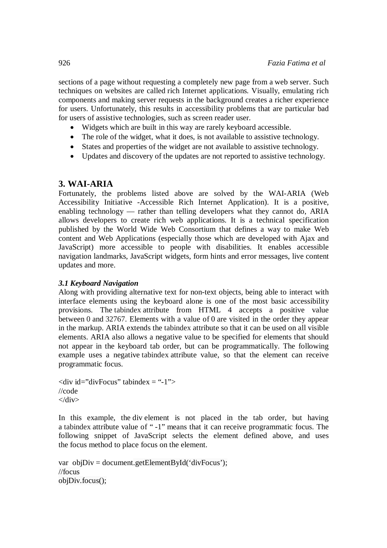sections of a page without requesting a completely new page from a web server. Such techniques on websites are called rich Internet applications. Visually, emulating rich components and making server requests in the background creates a richer experience for users. Unfortunately, this results in accessibility problems that are particular bad for users of assistive technologies, such as screen reader user.

- Widgets which are built in this way are rarely keyboard accessible.
- The role of the widget, what it does, is not available to assistive technology.
- States and properties of the widget are not available to assistive technology.
- Updates and discovery of the updates are not reported to assistive technology.

# **3. WAI-ARIA**

Fortunately, the problems listed above are solved by the WAI-ARIA (Web Accessibility Initiative -Accessible Rich Internet Application). It is a positive, enabling technology — rather than telling developers what they cannot do, ARIA allows developers to create rich web applications. It is a technical specification published by the World Wide Web Consortium that defines a way to make Web content and Web Applications (especially those which are developed with Ajax and JavaScript) more accessible to people with disabilities. It enables accessible navigation landmarks, JavaScript widgets, form hints and error messages, live content updates and more.

# *3.1 Keyboard Navigation*

Along with providing alternative text for non-text objects, being able to interact with interface elements using the keyboard alone is one of the most basic accessibility provisions. The tabindex attribute from HTML 4 accepts a positive value between 0 and 32767. Elements with a value of 0 are visited in the order they appear in the markup. ARIA extends the tabindex attribute so that it can be used on all visible elements. ARIA also allows a negative value to be specified for elements that should not appear in the keyboard tab order, but can be programmatically. The following example uses a negative tabindex attribute value, so that the element can receive programmatic focus.

 $\langle$ div id="divFocus" tabindex = "-1"> //code  $\langle$ div $>$ 

In this example, the div element is not placed in the tab order, but having a tabindex attribute value of " -1" means that it can receive programmatic focus. The following snippet of JavaScript selects the element defined above, and uses the focus method to place focus on the element.

```
var objDiv = document.getElementById('divFocus');
//focus
objDiv.focus();
```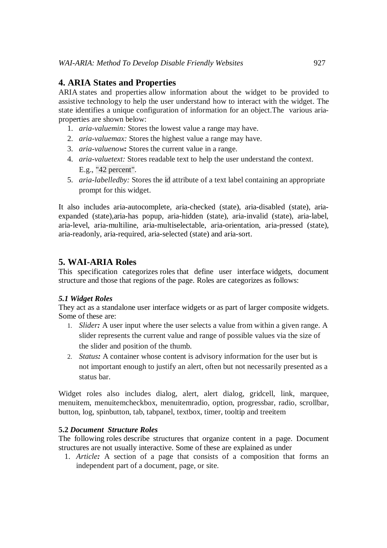# **4. ARIA States and Properties**

ARIA states and properties allow information about the widget to be provided to assistive technology to help the user understand how to interact with the widget. The state identifies a unique configuration of information for an object.The various ariaproperties are shown below:

- 1. *aria-valuemin:* Stores the lowest value a range may have.
- 2. *aria-valuemax:* Stores the highest value a range may have.
- 3. *aria-valuenow:* Stores the current value in a range.
- 4. *aria-valuetext:* Stores readable text to help the user understand the context. E.g., "42 percent".
- 5. *aria-labelledby:* Stores the id attribute of a text label containing an appropriate prompt for this widget.

It also includes aria-autocomplete, aria-checked (state), aria-disabled (state), ariaexpanded (state),aria-has popup, aria-hidden (state), aria-invalid (state), aria-label, aria-level, aria-multiline, aria-multiselectable, aria-orientation, aria-pressed (state), aria-readonly, aria-required, aria-selected (state) and aria-sort.

# **5. WAI-ARIA Roles**

This specification categorizes roles that define user interface widgets, document structure and those that regions of the page. Roles are categorizes as follows:

# *5.1 Widget Roles*

They act as a standalone user interface widgets or as part of larger composite widgets. Some of these are:

- 1. *Slider:* A user input where the user selects a value from within a given range. A slider represents the current value and range of possible values via the size of the slider and position of the thumb.
- 2. *Status:* A container whose content is advisory information for the user but is not important enough to justify an alert, often but not necessarily presented as a status bar.

Widget roles also includes dialog, alert, alert dialog, gridcell, link, marquee, menuitem, menuitemcheckbox, menuitemradio, option, progressbar, radio, scrollbar, button, log, spinbutton, tab, tabpanel, textbox, timer, tooltip and treeitem

# **5.2** *Document Structure Roles*

The following roles describe structures that organize content in a page. Document structures are not usually interactive. Some of these are explained as under

1. *Article:* A section of a page that consists of a composition that forms an independent part of a document, page, or site.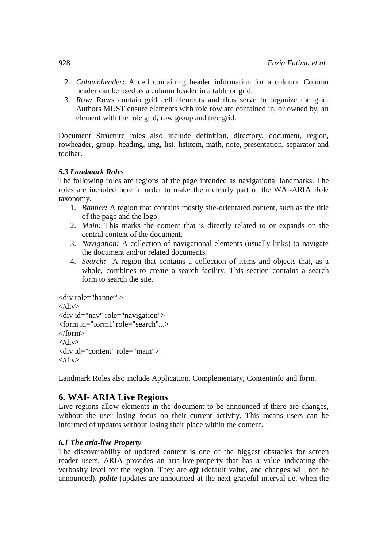- 2. *Columnheader:* A cell containing header information for a column. Column header can be used as a column header in a table or grid.
- 3. *Row:* Rows contain grid cell elements and thus serve to organize the grid. Authors MUST ensure elements with role row are contained in, or owned by, an element with the role grid, row group and tree grid.

Document Structure roles also include definition, directory, document, region, rowheader, group, heading, img, list, listitem, math, note, presentation, separator and toolbar.

# *5.3 Landmark Roles*

The following roles are regions of the page intended as navigational landmarks. The roles are included here in order to make them clearly part of the WAI-ARIA Role taxonomy.

- 1. *Banner:* A region that contains mostly site-orientated content, such as the title of the page and the logo.
- 2. *Main:* This marks the content that is directly related to or expands on the central content of the document.
- 3. *Navigation:* A collection of navigational elements (usually links) to navigate the document and/or related documents.
- 4. *Search:* A region that contains a collection of items and objects that, as a whole, combines to create a search facility. This section contains a search form to search the site.

```
<div role="banner">
\langlediv\rangle<div id="nav" role="navigation">
<form id="form1"role="search"...>
\epsilon form
\langlediv\rangle<div id="content" role="main">
</div>
```
Landmark Roles also include Application, Complementary, Contentinfo and form.

# **6. WAI- ARIA Live Regions**

Live regions allow elements in the document to be announced if there are changes, without the user losing focus on their current activity. This means users can be informed of updates without losing their place within the content.

# *6.1 The aria-live Property*

The discoverability of updated content is one of the biggest obstacles for screen reader users. ARIA provides an aria-live property that has a value indicating the verbosity level for the region. They are *off* (default value, and changes will not be announced), *polite* (updates are announced at the next graceful interval i.e. when the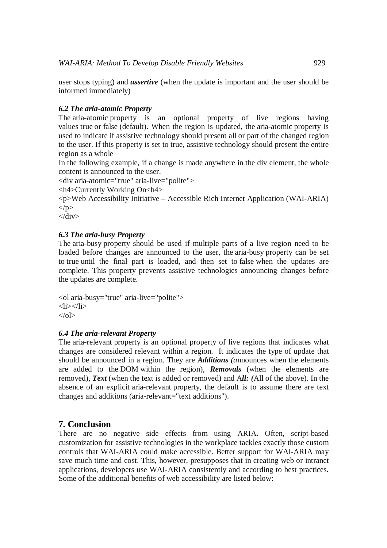user stops typing) and *assertive* (when the update is important and the user should be informed immediately)

### *6.2 The aria-atomic Property*

The aria-atomic property is an optional property of live regions having values true or false (default). When the region is updated, the aria-atomic property is used to indicate if assistive technology should present all or part of the changed region to the user. If this property is set to true, assistive technology should present the entire region as a whole

In the following example, if a change is made anywhere in the div element, the whole content is announced to the user.

<div aria-atomic="true" aria-live="polite">

<h4>Currently Working On<h4>

<p>Web Accessibility Initiative – Accessible Rich Internet Application (WAI-ARIA)  $<$ /p>

 $\langle$ div $>$ 

#### *6.3 The aria-busy Property*

The aria-busy property should be used if multiple parts of a live region need to be loaded before changes are announced to the user, the aria-busy property can be set to true until the final part is loaded, and then set to false when the updates are complete. This property prevents assistive technologies announcing changes before the updates are complete.

<ol aria-busy="true" aria-live="polite">  $<$ li $>$  $<$ li $>$  $<$ /ol $>$ 

#### *6.4 The aria-relevant Property*

The aria-relevant property is an optional property of live regions that indicates what changes are considered relevant within a region. It indicates the type of update that should be announced in a region. They are *Additions (a*nnounces when the elements are added to the DOM within the region), *Removals* (when the elements are removed), *Text* (when the text is added or removed) and A*ll: (*All of the above). In the absence of an explicit aria-relevant property, the default is to assume there are text changes and additions (aria-relevant="text additions").

# **7. Conclusion**

There are no negative side effects from using ARIA. Often, script-based customization for assistive technologies in the workplace tackles exactly those custom controls that WAI-ARIA could make accessible. Better support for WAI-ARIA may save much time and cost. This, however, presupposes that in creating web or intranet applications, developers use WAI-ARIA consistently and according to best practices. Some of the additional benefits of web accessibility are listed below: